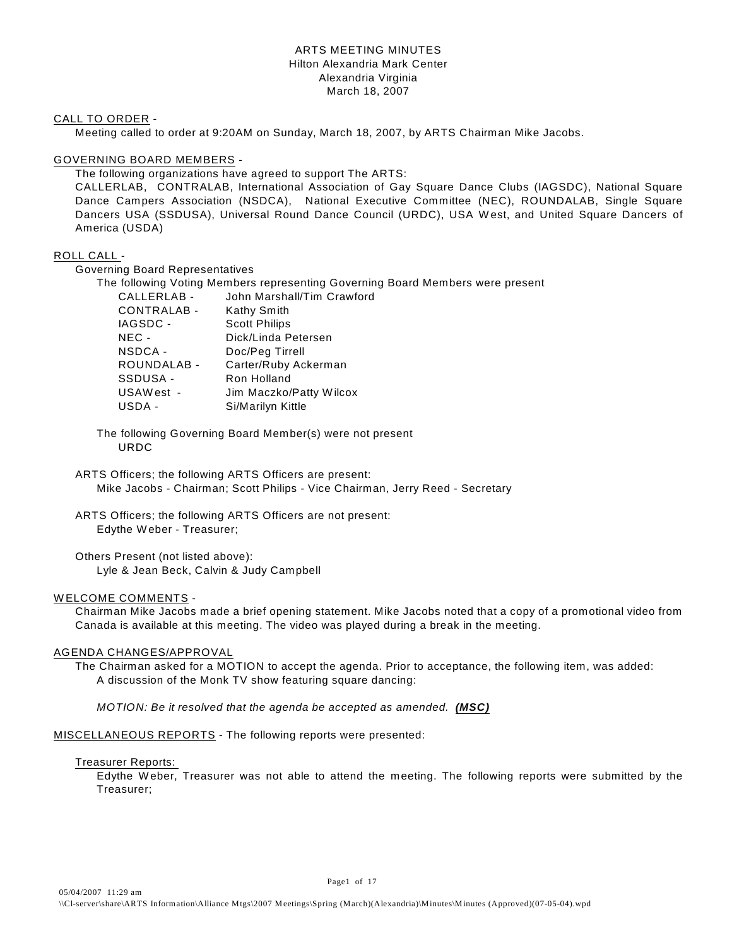#### ARTS MEETING MINUTES Hilton Alexandria Mark Center Alexandria Virginia March 18, 2007

#### CALL TO ORDER -

Meeting called to order at 9:20AM on Sunday, March 18, 2007, by ARTS Chairman Mike Jacobs.

#### GOVERNING BOARD MEMBERS -

The following organizations have agreed to support The ARTS:

CALLERLAB, CONTRALAB, International Association of Gay Square Dance Clubs (IAGSDC), National Square Dance Campers Association (NSDCA), National Executive Committee (NEC), ROUNDALAB, Single Square Dancers USA (SSDUSA), Universal Round Dance Council (URDC), USA W est, and United Square Dancers of America (USDA)

#### ROLL CALL -

Governing Board Representatives

The following Voting Members representing Governing Board Members were present

| CALLERLAB - | John Marshall/Tim Crawford |
|-------------|----------------------------|
| CONTRALAB - | Kathy Smith                |
| IAGSDC -    | <b>Scott Philips</b>       |
| NEC -       | Dick/Linda Petersen        |
| NSDCA -     | Doc/Peg Tirrell            |
| ROUNDALAB - | Carter/Ruby Ackerman       |
| SSDUSA -    | Ron Holland                |
| USAWest -   | Jim Maczko/Patty Wilcox    |
| USDA -      | Si/Marilyn Kittle          |

The following Governing Board Member(s) were not present URDC

ARTS Officers; the following ARTS Officers are present: Mike Jacobs - Chairman; Scott Philips - Vice Chairman, Jerry Reed - Secretary

ARTS Officers; the following ARTS Officers are not present: Edythe Weber - Treasurer;

Others Present (not listed above): Lyle & Jean Beck, Calvin & Judy Campbell

#### WELCOME COMMENTS -

Chairman Mike Jacobs made a brief opening statement. Mike Jacobs noted that a copy of a promotional video from Canada is available at this meeting. The video was played during a break in the meeting.

#### AGENDA CHANGES/APPROVAL

The Chairman asked for a MOTION to accept the agenda. Prior to acceptance, the following item, was added: A discussion of the Monk TV show featuring square dancing:

*MOTION: Be it resolved that the agenda be accepted as amended. (MSC)* 

MISCELLANEOUS REPORTS - The following reports were presented:

#### Treasurer Reports:

Edythe W eber, Treasurer was not able to attend the meeting. The following reports were submitted by the Treasurer;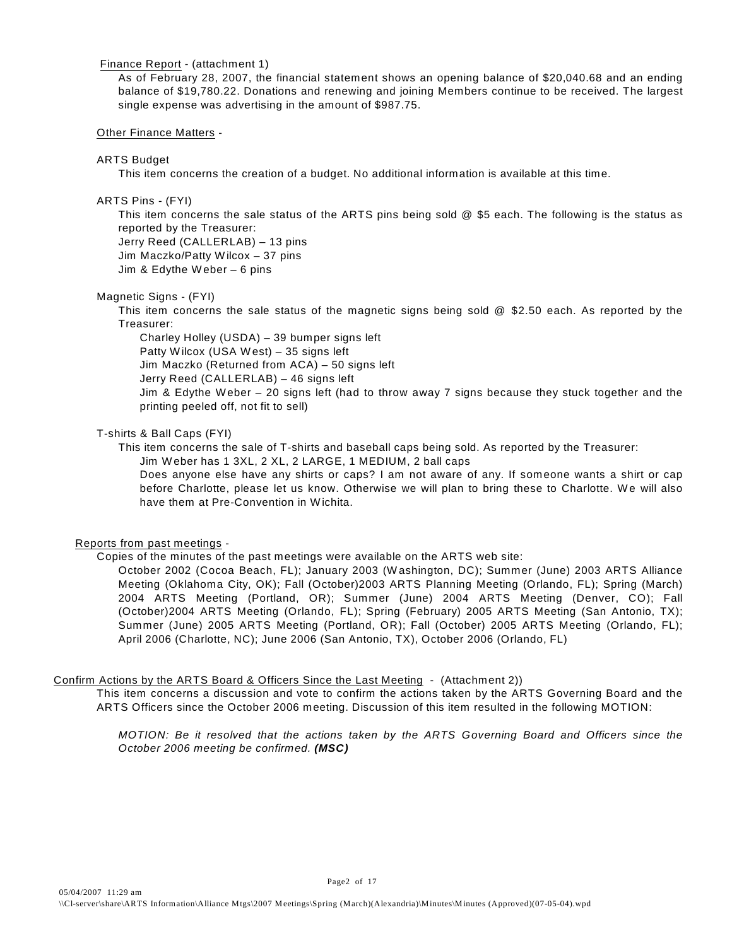#### Finance Report - (attachment 1)

As of February 28, 2007, the financial statement shows an opening balance of \$20,040.68 and an ending balance of \$19,780.22. Donations and renewing and joining Members continue to be received. The largest single expense was advertising in the amount of \$987.75.

#### Other Finance Matters -

#### ARTS Budget

This item concerns the creation of a budget. No additional information is available at this time.

#### ARTS Pins - (FYI)

This item concerns the sale status of the ARTS pins being sold @ \$5 each. The following is the status as reported by the Treasurer:

Jerry Reed (CALLERLAB) – 13 pins Jim Maczko/Patty W ilcox – 37 pins Jim & Edythe W eber – 6 pins

#### Magnetic Signs - (FYI)

This item concerns the sale status of the magnetic signs being sold @ \$2.50 each. As reported by the Treasurer:

Charley Holley (USDA) – 39 bumper signs left Patty W ilcox (USA W est) – 35 signs left Jim Maczko (Returned from ACA) – 50 signs left Jerry Reed (CALLERLAB) – 46 signs left Jim & Edythe W eber – 20 signs left (had to throw away 7 signs because they stuck together and the printing peeled off, not fit to sell)

#### T-shirts & Ball Caps (FYI)

This item concerns the sale of T-shirts and baseball caps being sold. As reported by the Treasurer: Jim W eber has 1 3XL, 2 XL, 2 LARGE, 1 MEDIUM, 2 ball caps

Does anyone else have any shirts or caps? I am not aware of any. If someone wants a shirt or cap before Charlotte, please let us know. Otherwise we will plan to bring these to Charlotte. W e will also have them at Pre-Convention in W ichita.

#### Reports from past meetings -

Copies of the minutes of the past meetings were available on the ARTS web site:

October 2002 (Cocoa Beach, FL); January 2003 (W ashington, DC); Summer (June) 2003 ARTS Alliance Meeting (Oklahoma City, OK); Fall (October)2003 ARTS Planning Meeting (Orlando, FL); Spring (March) 2004 ARTS Meeting (Portland, OR); Summer (June) 2004 ARTS Meeting (Denver, CO); Fall (October)2004 ARTS Meeting (Orlando, FL); Spring (February) 2005 ARTS Meeting (San Antonio, TX); Summer (June) 2005 ARTS Meeting (Portland, OR); Fall (October) 2005 ARTS Meeting (Orlando, FL); April 2006 (Charlotte, NC); June 2006 (San Antonio, TX), October 2006 (Orlando, FL)

#### Confirm Actions by the ARTS Board & Officers Since the Last Meeting - (Attachment 2))

This item concerns a discussion and vote to confirm the actions taken by the ARTS Governing Board and the ARTS Officers since the October 2006 meeting. Discussion of this item resulted in the following MOTION:

*MOTION: Be it resolved that the actions taken by the ARTS Governing Board and Officers since the October 2006 meeting be confirmed. (MSC)*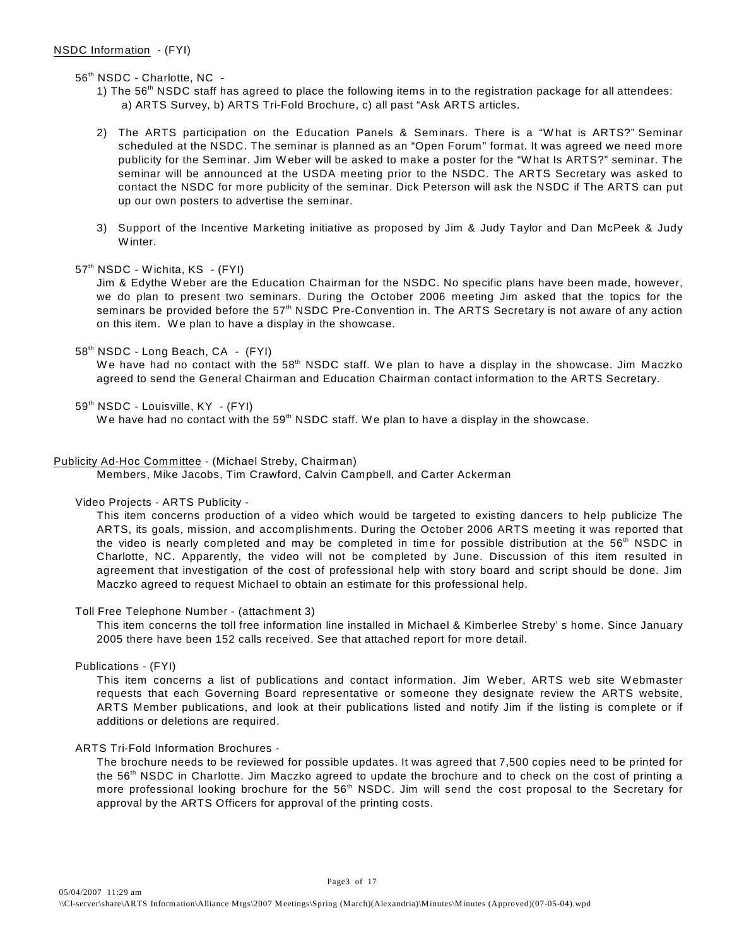56<sup>th</sup> NSDC - Charlotte, NC -

- 1) The  $56<sup>th</sup>$  NSDC staff has agreed to place the following items in to the registration package for all attendees: a) ARTS Survey, b) ARTS Tri-Fold Brochure, c) all past "Ask ARTS articles.
- 2) The ARTS participation on the Education Panels & Seminars. There is a "W hat is ARTS?" Seminar scheduled at the NSDC. The seminar is planned as an "Open Forum" format. It was agreed we need more publicity for the Seminar. Jim W eber will be asked to make a poster for the "W hat Is ARTS?" seminar. The seminar will be announced at the USDA meeting prior to the NSDC. The ARTS Secretary was asked to contact the NSDC for more publicity of the seminar. Dick Peterson will ask the NSDC if The ARTS can put up our own posters to advertise the seminar.
- 3) Support of the Incentive Marketing initiative as proposed by Jim & Judy Taylor and Dan McPeek & Judy W inter.
- 57<sup>th</sup> NSDC Wichita, KS (FYI)

Jim & Edythe W eber are the Education Chairman for the NSDC. No specific plans have been made, however, we do plan to present two seminars. During the October 2006 meeting Jim asked that the topics for the seminars be provided before the 57<sup>th</sup> NSDC Pre-Convention in. The ARTS Secretary is not aware of any action on this item. W e plan to have a display in the showcase.

58<sup>th</sup> NSDC - Long Beach, CA - (FYI)

We have had no contact with the 58<sup>th</sup> NSDC staff. We plan to have a display in the showcase. Jim Maczko agreed to send the General Chairman and Education Chairman contact information to the ARTS Secretary.

59<sup>th</sup> NSDC - Louisville, KY - (FYI)

We have had no contact with the 59<sup>th</sup> NSDC staff. We plan to have a display in the showcase.

#### Publicity Ad-Hoc Committee - (Michael Streby, Chairman)

Members, Mike Jacobs, Tim Crawford, Calvin Campbell, and Carter Ackerman

#### Video Projects - ARTS Publicity -

This item concerns production of a video which would be targeted to existing dancers to help publicize The ARTS, its goals, mission, and accomplishments. During the October 2006 ARTS meeting it was reported that the video is nearly completed and may be completed in time for possible distribution at the  $56<sup>th</sup>$  NSDC in Charlotte, NC. Apparently, the video will not be completed by June. Discussion of this item resulted in agreement that investigation of the cost of professional help with story board and script should be done. Jim Maczko agreed to request Michael to obtain an estimate for this professional help.

#### Toll Free Telephone Number - (attachment 3)

This item concerns the toll free information line installed in Michael & Kimberlee Streby' s home. Since January 2005 there have been 152 calls received. See that attached report for more detail.

Publications - (FYI)

This item concerns a list of publications and contact information. Jim W eber, ARTS web site W ebmaster requests that each Governing Board representative or someone they designate review the ARTS website, ARTS Member publications, and look at their publications listed and notify Jim if the listing is complete or if additions or deletions are required.

#### ARTS Tri-Fold Information Brochures -

The brochure needs to be reviewed for possible updates. It was agreed that 7,500 copies need to be printed for the  $56<sup>th</sup>$  NSDC in Charlotte. Jim Maczko agreed to update the brochure and to check on the cost of printing a more professional looking brochure for the  $56<sup>th</sup>$  NSDC. Jim will send the cost proposal to the Secretary for approval by the ARTS Officers for approval of the printing costs.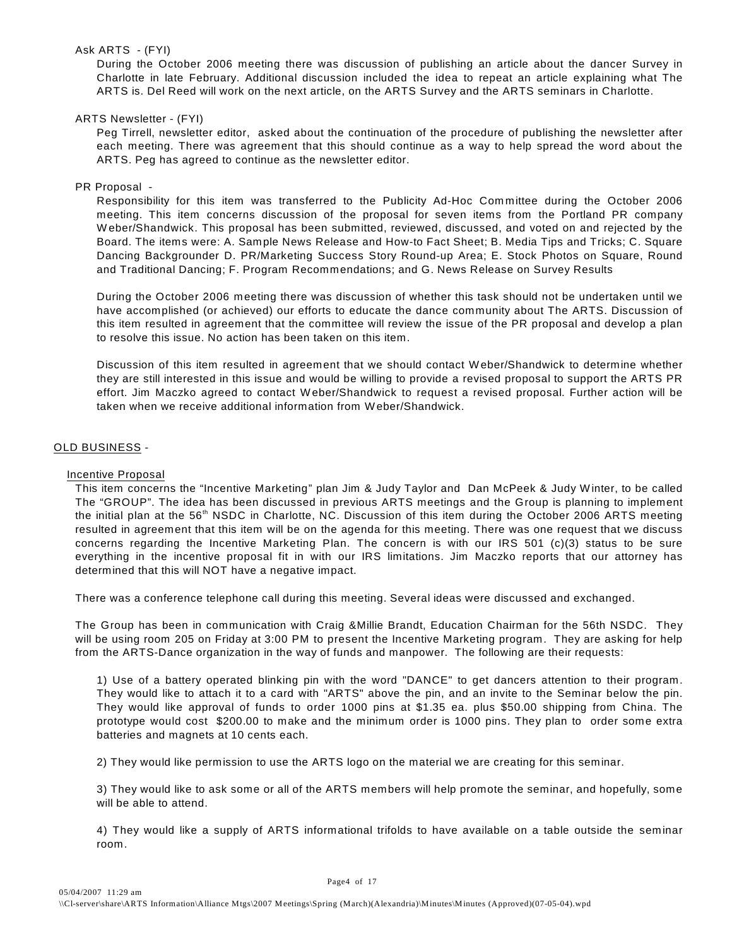#### Ask ARTS - (FYI)

During the October 2006 meeting there was discussion of publishing an article about the dancer Survey in Charlotte in late February. Additional discussion included the idea to repeat an article explaining what The ARTS is. Del Reed will work on the next article, on the ARTS Survey and the ARTS seminars in Charlotte.

#### ARTS Newsletter - (FYI)

Peg Tirrell, newsletter editor, asked about the continuation of the procedure of publishing the newsletter after each meeting. There was agreement that this should continue as a way to help spread the word about the ARTS. Peg has agreed to continue as the newsletter editor.

#### PR Proposal -

Responsibility for this item was transferred to the Publicity Ad-Hoc Committee during the October 2006 meeting. This item concerns discussion of the proposal for seven items from the Portland PR company W eber/Shandwick. This proposal has been submitted, reviewed, discussed, and voted on and rejected by the Board. The items were: A. Sample News Release and How-to Fact Sheet; B. Media Tips and Tricks; C. Square Dancing Backgrounder D. PR/Marketing Success Story Round-up Area; E. Stock Photos on Square, Round and Traditional Dancing; F. Program Recommendations; and G. News Release on Survey Results

During the October 2006 meeting there was discussion of whether this task should not be undertaken until we have accomplished (or achieved) our efforts to educate the dance community about The ARTS. Discussion of this item resulted in agreement that the committee will review the issue of the PR proposal and develop a plan to resolve this issue. No action has been taken on this item.

Discussion of this item resulted in agreement that we should contact W eber/Shandwick to determine whether they are still interested in this issue and would be willing to provide a revised proposal to support the ARTS PR effort. Jim Maczko agreed to contact W eber/Shandwick to request a revised proposal. Further action will be taken when we receive additional information from W eber/Shandwick.

#### OLD BUSINESS -

#### Incentive Proposal

This item concerns the "Incentive Marketing" plan Jim & Judy Taylor and Dan McPeek & Judy W inter, to be called The "GROUP". The idea has been discussed in previous ARTS meetings and the Group is planning to implement the initial plan at the 56<sup>th</sup> NSDC in Charlotte, NC. Discussion of this item during the October 2006 ARTS meeting resulted in agreement that this item will be on the agenda for this meeting. There was one request that we discuss concerns regarding the Incentive Marketing Plan. The concern is with our IRS 501 (c)(3) status to be sure everything in the incentive proposal fit in with our IRS limitations. Jim Maczko reports that our attorney has determined that this will NOT have a negative impact.

There was a conference telephone call during this meeting. Several ideas were discussed and exchanged.

The Group has been in communication with Craig &Millie Brandt, Education Chairman for the 56th NSDC. They will be using room 205 on Friday at 3:00 PM to present the Incentive Marketing program. They are asking for help from the ARTS-Dance organization in the way of funds and manpower. The following are their requests:

1) Use of a battery operated blinking pin with the word "DANCE" to get dancers attention to their program. They would like to attach it to a card with "ARTS" above the pin, and an invite to the Seminar below the pin. They would like approval of funds to order 1000 pins at \$1.35 ea. plus \$50.00 shipping from China. The prototype would cost \$200.00 to make and the minimum order is 1000 pins. They plan to order some extra batteries and magnets at 10 cents each.

2) They would like permission to use the ARTS logo on the material we are creating for this seminar.

3) They would like to ask some or all of the ARTS members will help promote the seminar, and hopefully, some will be able to attend.

4) They would like a supply of ARTS informational trifolds to have available on a table outside the seminar room.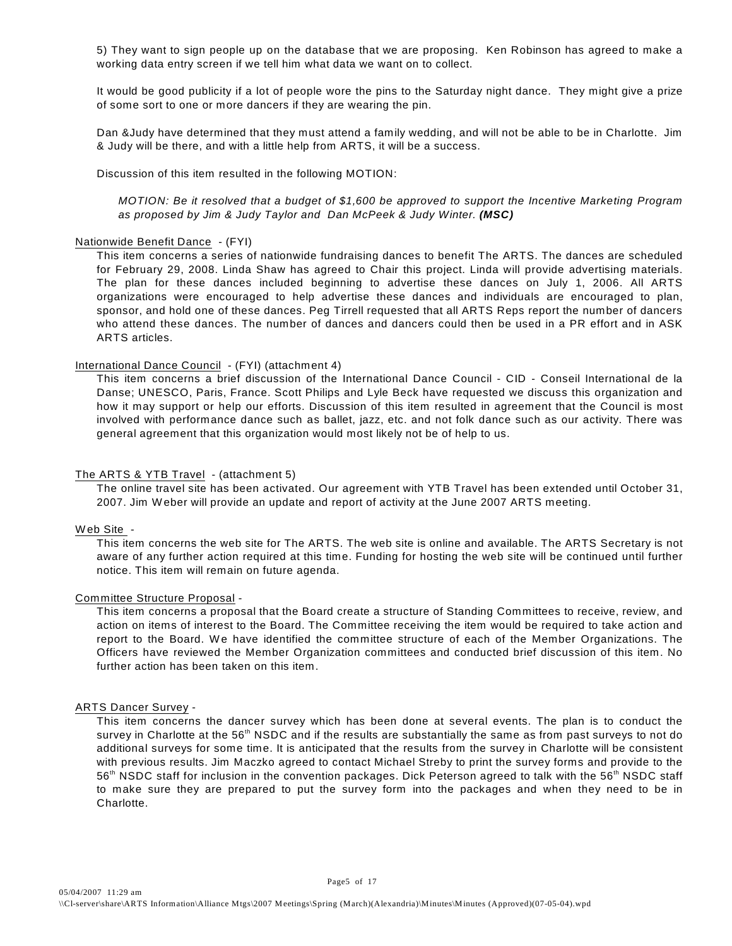5) They want to sign people up on the database that we are proposing. Ken Robinson has agreed to make a working data entry screen if we tell him what data we want on to collect.

It would be good publicity if a lot of people wore the pins to the Saturday night dance. They might give a prize of some sort to one or more dancers if they are wearing the pin.

Dan &Judy have determined that they must attend a family wedding, and will not be able to be in Charlotte. Jim & Judy will be there, and with a little help from ARTS, it will be a success.

Discussion of this item resulted in the following MOTION:

*MOTION: Be it resolved that a budget of \$1,600 be approved to support the Incentive Marketing Program as proposed by Jim & Judy Taylor and Dan McPeek & Judy Winter. (MSC)*

#### Nationwide Benefit Dance - (FYI)

This item concerns a series of nationwide fundraising dances to benefit The ARTS. The dances are scheduled for February 29, 2008. Linda Shaw has agreed to Chair this project. Linda will provide advertising materials. The plan for these dances included beginning to advertise these dances on July 1, 2006. All ARTS organizations were encouraged to help advertise these dances and individuals are encouraged to plan, sponsor, and hold one of these dances. Peg Tirrell requested that all ARTS Reps report the number of dancers who attend these dances. The number of dances and dancers could then be used in a PR effort and in ASK ARTS articles.

#### International Dance Council - (FYI) (attachment 4)

This item concerns a brief discussion of the International Dance Council - CID - Conseil International de la Danse; UNESCO, Paris, France. Scott Philips and Lyle Beck have requested we discuss this organization and how it may support or help our efforts. Discussion of this item resulted in agreement that the Council is most involved with performance dance such as ballet, jazz, etc. and not folk dance such as our activity. There was general agreement that this organization would most likely not be of help to us.

#### The ARTS & YTB Travel - (attachment 5)

The online travel site has been activated. Our agreement with YTB Travel has been extended until October 31, 2007. Jim W eber will provide an update and report of activity at the June 2007 ARTS meeting.

#### W eb Site -

This item concerns the web site for The ARTS. The web site is online and available. The ARTS Secretary is not aware of any further action required at this time. Funding for hosting the web site will be continued until further notice. This item will remain on future agenda.

#### Committee Structure Proposal -

This item concerns a proposal that the Board create a structure of Standing Committees to receive, review, and action on items of interest to the Board. The Committee receiving the item would be required to take action and report to the Board. We have identified the committee structure of each of the Member Organizations. The Officers have reviewed the Member Organization committees and conducted brief discussion of this item. No further action has been taken on this item.

#### ARTS Dancer Survey -

This item concerns the dancer survey which has been done at several events. The plan is to conduct the survey in Charlotte at the 56<sup>th</sup> NSDC and if the results are substantially the same as from past surveys to not do additional surveys for some time. It is anticipated that the results from the survey in Charlotte will be consistent with previous results. Jim Maczko agreed to contact Michael Streby to print the survey forms and provide to the 56<sup>th</sup> NSDC staff for inclusion in the convention packages. Dick Peterson agreed to talk with the 56<sup>th</sup> NSDC staff to make sure they are prepared to put the survey form into the packages and when they need to be in Charlotte.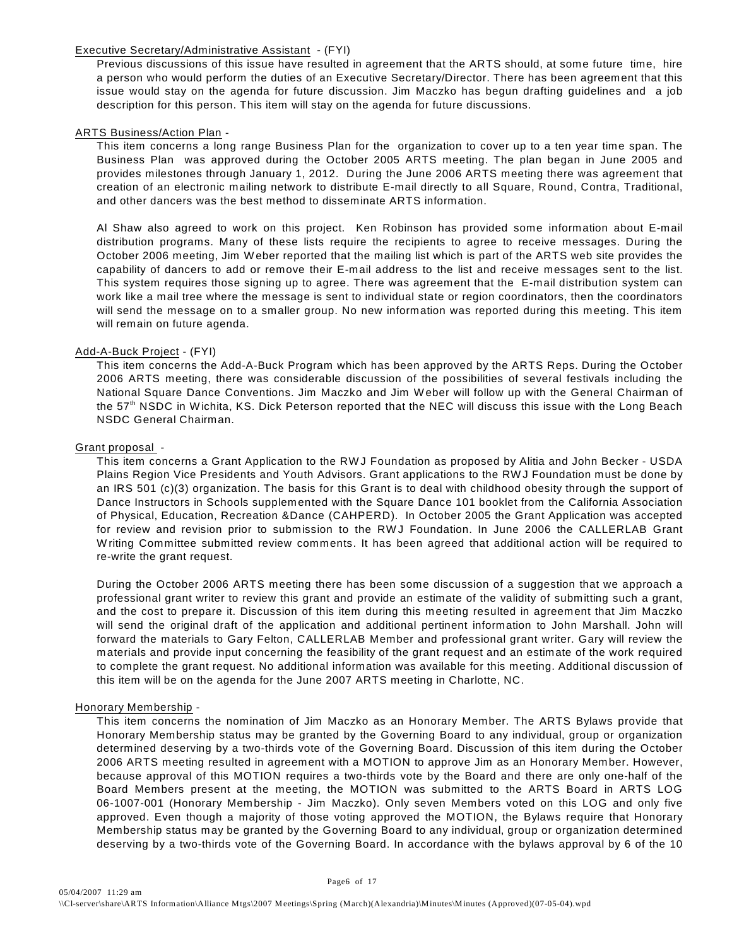#### Executive Secretary/Administrative Assistant - (FYI)

Previous discussions of this issue have resulted in agreement that the ARTS should, at some future time, hire a person who would perform the duties of an Executive Secretary/Director. There has been agreement that this issue would stay on the agenda for future discussion. Jim Maczko has begun drafting guidelines and a job description for this person. This item will stay on the agenda for future discussions.

#### ARTS Business/Action Plan -

This item concerns a long range Business Plan for the organization to cover up to a ten year time span. The Business Plan was approved during the October 2005 ARTS meeting. The plan began in June 2005 and provides milestones through January 1, 2012. During the June 2006 ARTS meeting there was agreement that creation of an electronic mailing network to distribute E-mail directly to all Square, Round, Contra, Traditional, and other dancers was the best method to disseminate ARTS information.

Al Shaw also agreed to work on this project. Ken Robinson has provided some information about E-mail distribution programs. Many of these lists require the recipients to agree to receive messages. During the October 2006 meeting, Jim W eber reported that the mailing list which is part of the ARTS web site provides the capability of dancers to add or remove their E-mail address to the list and receive messages sent to the list. This system requires those signing up to agree. There was agreement that the E-mail distribution system can work like a mail tree where the message is sent to individual state or region coordinators, then the coordinators will send the message on to a smaller group. No new information was reported during this meeting. This item will remain on future agenda.

#### Add-A-Buck Project - (FYI)

This item concerns the Add-A-Buck Program which has been approved by the ARTS Reps. During the October 2006 ARTS meeting, there was considerable discussion of the possibilities of several festivals including the National Square Dance Conventions. Jim Maczko and Jim W eber will follow up with the General Chairman of the 57<sup>th</sup> NSDC in Wichita, KS. Dick Peterson reported that the NEC will discuss this issue with the Long Beach NSDC General Chairman.

#### Grant proposal -

This item concerns a Grant Application to the RW J Foundation as proposed by Alitia and John Becker - USDA Plains Region Vice Presidents and Youth Advisors. Grant applications to the RW J Foundation must be done by an IRS 501 (c)(3) organization. The basis for this Grant is to deal with childhood obesity through the support of Dance Instructors in Schools supplemented with the Square Dance 101 booklet from the California Association of Physical, Education, Recreation &Dance (CAHPERD). In October 2005 the Grant Application was accepted for review and revision prior to submission to the RW J Foundation. In June 2006 the CALLERLAB Grant W riting Committee submitted review comments. It has been agreed that additional action will be required to re-write the grant request.

During the October 2006 ARTS meeting there has been some discussion of a suggestion that we approach a professional grant writer to review this grant and provide an estimate of the validity of submitting such a grant, and the cost to prepare it. Discussion of this item during this meeting resulted in agreement that Jim Maczko will send the original draft of the application and additional pertinent information to John Marshall. John will forward the materials to Gary Felton, CALLERLAB Member and professional grant writer. Gary will review the materials and provide input concerning the feasibility of the grant request and an estimate of the work required to complete the grant request. No additional information was available for this meeting. Additional discussion of this item will be on the agenda for the June 2007 ARTS meeting in Charlotte, NC.

#### Honorary Membership -

This item concerns the nomination of Jim Maczko as an Honorary Member. The ARTS Bylaws provide that Honorary Membership status may be granted by the Governing Board to any individual, group or organization determined deserving by a two-thirds vote of the Governing Board. Discussion of this item during the October 2006 ARTS meeting resulted in agreement with a MOTION to approve Jim as an Honorary Member. However, because approval of this MOTION requires a two-thirds vote by the Board and there are only one-half of the Board Members present at the meeting, the MOTION was submitted to the ARTS Board in ARTS LOG 06-1007-001 (Honorary Membership - Jim Maczko). Only seven Members voted on this LOG and only five approved. Even though a majority of those voting approved the MOTION, the Bylaws require that Honorary Membership status may be granted by the Governing Board to any individual, group or organization determined deserving by a two-thirds vote of the Governing Board. In accordance with the bylaws approval by 6 of the 10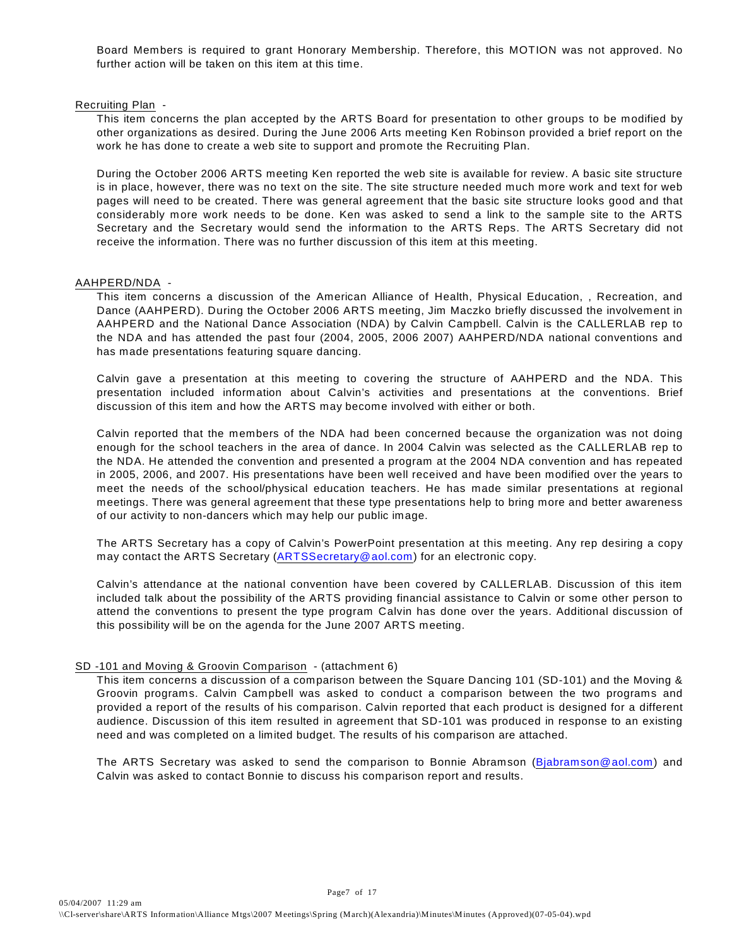Board Members is required to grant Honorary Membership. Therefore, this MOTION was not approved. No further action will be taken on this item at this time.

#### Recruiting Plan -

This item concerns the plan accepted by the ARTS Board for presentation to other groups to be modified by other organizations as desired. During the June 2006 Arts meeting Ken Robinson provided a brief report on the work he has done to create a web site to support and promote the Recruiting Plan.

During the October 2006 ARTS meeting Ken reported the web site is available for review. A basic site structure is in place, however, there was no text on the site. The site structure needed much more work and text for web pages will need to be created. There was general agreement that the basic site structure looks good and that considerably more work needs to be done. Ken was asked to send a link to the sample site to the ARTS Secretary and the Secretary would send the information to the ARTS Reps. The ARTS Secretary did not receive the information. There was no further discussion of this item at this meeting.

#### AAHPERD/NDA -

This item concerns a discussion of the American Alliance of Health, Physical Education, , Recreation, and Dance (AAHPERD). During the October 2006 ARTS meeting, Jim Maczko briefly discussed the involvement in AAHPERD and the National Dance Association (NDA) by Calvin Campbell. Calvin is the CALLERLAB rep to the NDA and has attended the past four (2004, 2005, 2006 2007) AAHPERD/NDA national conventions and has made presentations featuring square dancing.

Calvin gave a presentation at this meeting to covering the structure of AAHPERD and the NDA. This presentation included information about Calvin's activities and presentations at the conventions. Brief discussion of this item and how the ARTS may become involved with either or both.

Calvin reported that the members of the NDA had been concerned because the organization was not doing enough for the school teachers in the area of dance. In 2004 Calvin was selected as the CALLERLAB rep to the NDA. He attended the convention and presented a program at the 2004 NDA convention and has repeated in 2005, 2006, and 2007. His presentations have been well received and have been modified over the years to meet the needs of the school/physical education teachers. He has made similar presentations at regional meetings. There was general agreement that these type presentations help to bring more and better awareness of our activity to non-dancers which may help our public image.

The ARTS Secretary has a copy of Calvin's PowerPoint presentation at this meeting. Any rep desiring a copy may contact the ARTS Secretary [\(ARTSSecretary@aol.com](mailto:ARTSSecretary@aol.com)) for an electronic copy.

Calvin's attendance at the national convention have been covered by CALLERLAB. Discussion of this item included talk about the possibility of the ARTS providing financial assistance to Calvin or some other person to attend the conventions to present the type program Calvin has done over the years. Additional discussion of this possibility will be on the agenda for the June 2007 ARTS meeting.

#### SD -101 and Moving & Groovin Comparison - (attachment 6)

This item concerns a discussion of a comparison between the Square Dancing 101 (SD-101) and the Moving & Groovin programs. Calvin Campbell was asked to conduct a comparison between the two programs and provided a report of the results of his comparison. Calvin reported that each product is designed for a different audience. Discussion of this item resulted in agreement that SD-101 was produced in response to an existing need and was completed on a limited budget. The results of his comparison are attached.

The ARTS Secretary was asked to send the comparison to Bonnie Abramson [\(Bjabramson@aol.com](mailto:Bjabramson@aol.com)) and Calvin was asked to contact Bonnie to discuss his comparison report and results.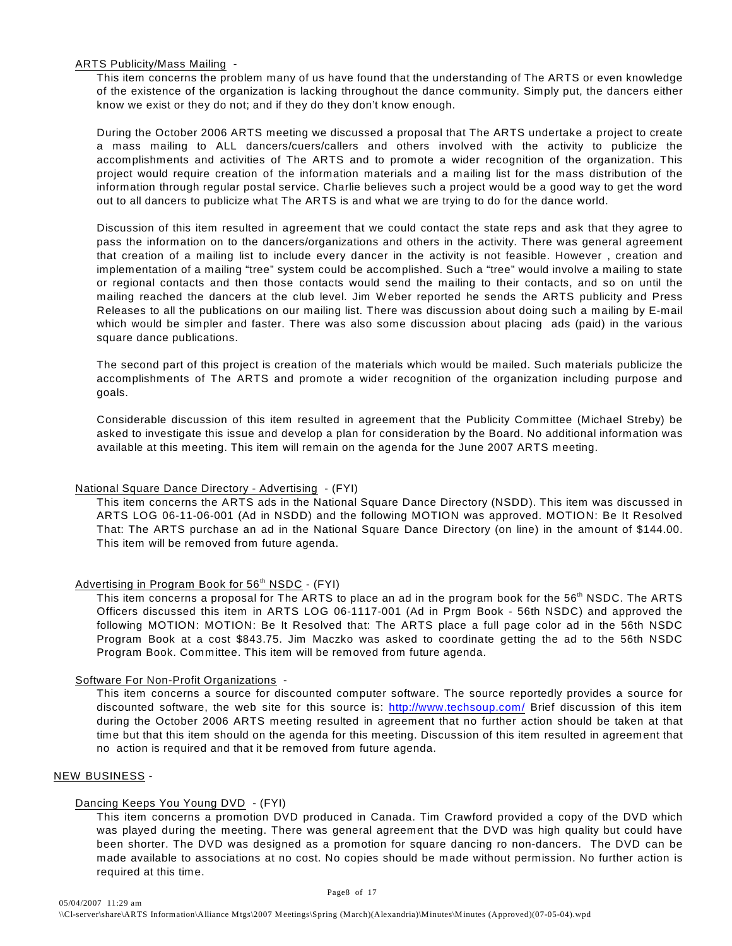#### ARTS Publicity/Mass Mailing -

This item concerns the problem many of us have found that the understanding of The ARTS or even knowledge of the existence of the organization is lacking throughout the dance community. Simply put, the dancers either know we exist or they do not; and if they do they don't know enough.

During the October 2006 ARTS meeting we discussed a proposal that The ARTS undertake a project to create a mass mailing to ALL dancers/cuers/callers and others involved with the activity to publicize the accomplishments and activities of The ARTS and to promote a wider recognition of the organization. This project would require creation of the information materials and a mailing list for the mass distribution of the information through regular postal service. Charlie believes such a project would be a good way to get the word out to all dancers to publicize what The ARTS is and what we are trying to do for the dance world.

Discussion of this item resulted in agreement that we could contact the state reps and ask that they agree to pass the information on to the dancers/organizations and others in the activity. There was general agreement that creation of a mailing list to include every dancer in the activity is not feasible. However , creation and implementation of a mailing "tree" system could be accomplished. Such a "tree" would involve a mailing to state or regional contacts and then those contacts would send the mailing to their contacts, and so on until the mailing reached the dancers at the club level. Jim W eber reported he sends the ARTS publicity and Press Releases to all the publications on our mailing list. There was discussion about doing such a mailing by E-mail which would be simpler and faster. There was also some discussion about placing ads (paid) in the various square dance publications.

The second part of this project is creation of the materials which would be mailed. Such materials publicize the accomplishments of The ARTS and promote a wider recognition of the organization including purpose and goals.

Considerable discussion of this item resulted in agreement that the Publicity Committee (Michael Streby) be asked to investigate this issue and develop a plan for consideration by the Board. No additional information was available at this meeting. This item will remain on the agenda for the June 2007 ARTS meeting.

#### National Square Dance Directory - Advertising - (FYI)

This item concerns the ARTS ads in the National Square Dance Directory (NSDD). This item was discussed in ARTS LOG 06-11-06-001 (Ad in NSDD) and the following MOTION was approved. MOTION: Be It Resolved That: The ARTS purchase an ad in the National Square Dance Directory (on line) in the amount of \$144.00. This item will be removed from future agenda.

#### Advertising in Program Book for  $56<sup>th</sup>$  NSDC - (FYI)

This item concerns a proposal for The ARTS to place an ad in the program book for the 56<sup>th</sup> NSDC. The ARTS Officers discussed this item in ARTS LOG 06-1117-001 (Ad in Prgm Book - 56th NSDC) and approved the following MOTION: MOTION: Be It Resolved that: The ARTS place a full page color ad in the 56th NSDC Program Book at a cost \$843.75. Jim Maczko was asked to coordinate getting the ad to the 56th NSDC Program Book. Committee. This item will be removed from future agenda.

#### Software For Non-Profit Organizations -

This item concerns a source for discounted computer software. The source reportedly provides a source for discounted software, the web site for this source is: <http://www.techsoup.com/> Brief discussion of this item during the October 2006 ARTS meeting resulted in agreement that no further action should be taken at that time but that this item should on the agenda for this meeting. Discussion of this item resulted in agreement that no action is required and that it be removed from future agenda.

#### NEW BUSINESS -

#### Dancing Keeps You Young DVD - (FYI)

This item concerns a promotion DVD produced in Canada. Tim Crawford provided a copy of the DVD which was played during the meeting. There was general agreement that the DVD was high quality but could have been shorter. The DVD was designed as a promotion for square dancing ro non-dancers. The DVD can be made available to associations at no cost. No copies should be made without permission. No further action is required at this time.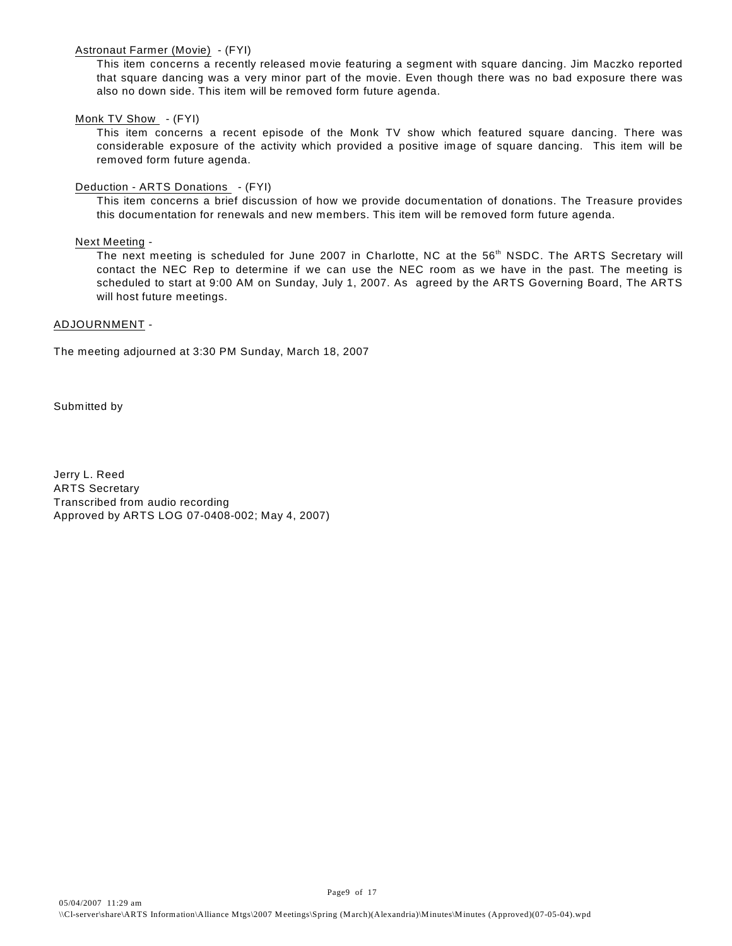#### Astronaut Farmer (Movie) - (FYI)

This item concerns a recently released movie featuring a segment with square dancing. Jim Maczko reported that square dancing was a very minor part of the movie. Even though there was no bad exposure there was also no down side. This item will be removed form future agenda.

#### Monk TV Show - (FYI)

This item concerns a recent episode of the Monk TV show which featured square dancing. There was considerable exposure of the activity which provided a positive image of square dancing. This item will be removed form future agenda.

#### Deduction - ARTS Donations - (FYI)

This item concerns a brief discussion of how we provide documentation of donations. The Treasure provides this documentation for renewals and new members. This item will be removed form future agenda.

#### Next Meeting -

The next meeting is scheduled for June 2007 in Charlotte, NC at the 56<sup>th</sup> NSDC. The ARTS Secretary will contact the NEC Rep to determine if we can use the NEC room as we have in the past. The meeting is scheduled to start at 9:00 AM on Sunday, July 1, 2007. As agreed by the ARTS Governing Board, The ARTS will host future meetings.

#### ADJOURNMENT -

The meeting adjourned at 3:30 PM Sunday, March 18, 2007

Submitted by

Jerry L. Reed ARTS Secretary Transcribed from audio recording Approved by ARTS LOG 07-0408-002; May 4, 2007)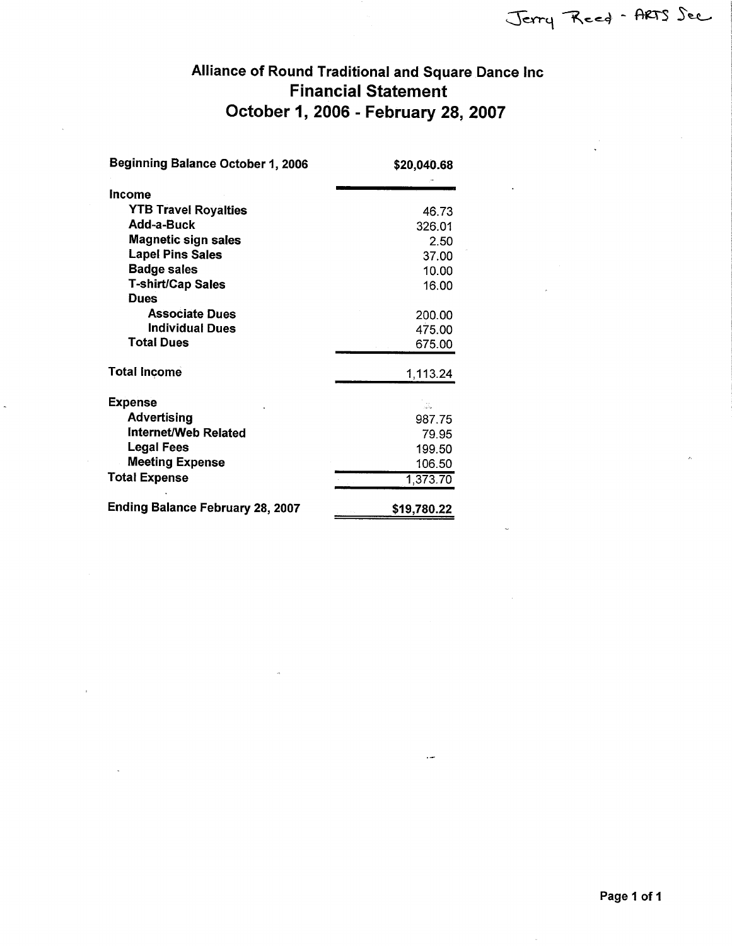# Alliance of Round Traditional and Square Dance Inc **Financial Statement** October 1, 2006 - February 28, 2007

| <b>Beginning Balance October 1, 2006</b> | \$20,040.68                                  |
|------------------------------------------|----------------------------------------------|
| Income                                   |                                              |
| <b>YTB Travel Royalties</b>              | 46.73                                        |
| Add-a-Buck                               | 326.01                                       |
| Magnetic sign sales                      | 2.50                                         |
| <b>Lapel Pins Sales</b>                  | 37.00                                        |
| <b>Badge sales</b>                       | 10.00                                        |
| T-shirt/Cap Sales                        | 16.00                                        |
| <b>Dues</b>                              |                                              |
| <b>Associate Dues</b>                    | 200.00                                       |
| <b>Individual Dues</b>                   | 475.00                                       |
| <b>Total Dues</b>                        | 675.00                                       |
| <b>Total Income</b>                      | 1,113.24                                     |
| <b>Expense</b>                           |                                              |
| <b>Advertising</b>                       | 987.75                                       |
| Internet/Web Related                     | 79.95                                        |
| <b>Legal Fees</b>                        | 199.50                                       |
| <b>Meeting Expense</b>                   | 106.50                                       |
| <b>Total Expense</b>                     | 1,373.70                                     |
| <b>Ending Balance February 28, 2007</b>  | \$19,780.22<br>$\alpha$ , $\beta$ , $\alpha$ |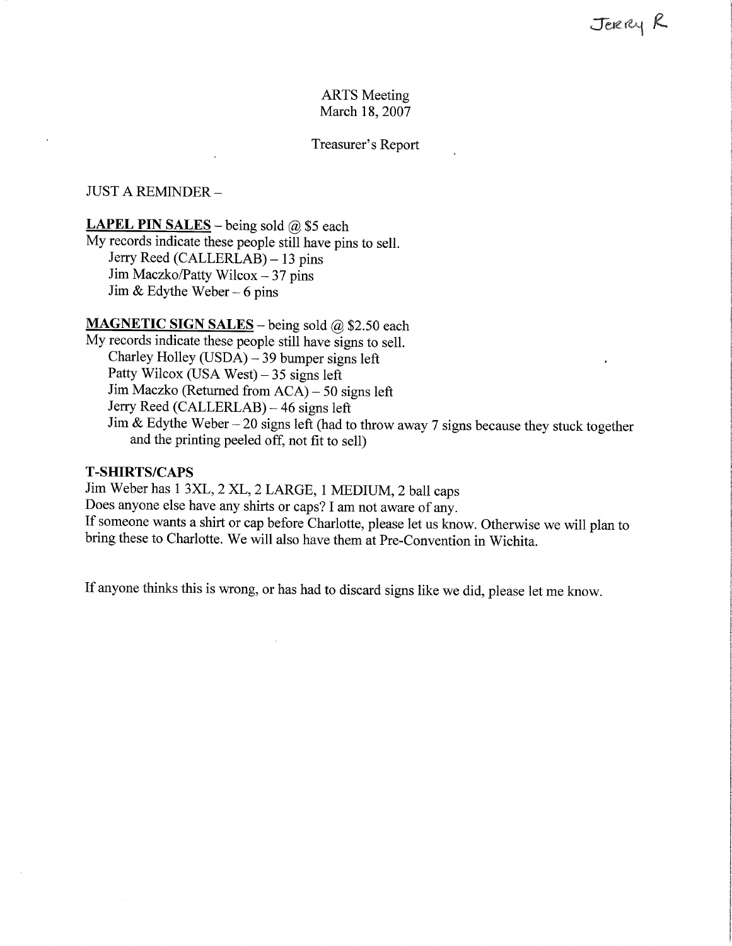### **ARTS** Meeting March 18, 2007

Treasurer's Report

### **JUST A REMINDER -**

#### **LAPEL PIN SALES** – being sold  $\omega$  \$5 each

My records indicate these people still have pins to sell. Jerry Reed (CALLERLAB) – 13 pins Jim Maczko/Patty Wilcox - 37 pins Jim & Edythe Weber  $-6$  pins

# MAGNETIC SIGN SALES - being sold @ \$2.50 each

My records indicate these people still have signs to sell. Charley Holley (USDA) - 39 bumper signs left Patty Wilcox (USA West)  $-35$  signs left Jim Maczko (Returned from ACA) – 50 signs left Jerry Reed (CALLERLAB) – 46 signs left Jim & Edythe Weber - 20 signs left (had to throw away 7 signs because they stuck together and the printing peeled off, not fit to sell)

### **T-SHIRTS/CAPS**

Jim Weber has 1 3XL, 2 XL, 2 LARGE, 1 MEDIUM, 2 ball caps Does anyone else have any shirts or caps? I am not aware of any. If someone wants a shirt or cap before Charlotte, please let us know. Otherwise we will plan to bring these to Charlotte. We will also have them at Pre-Convention in Wichita.

If anyone thinks this is wrong, or has had to discard signs like we did, please let me know.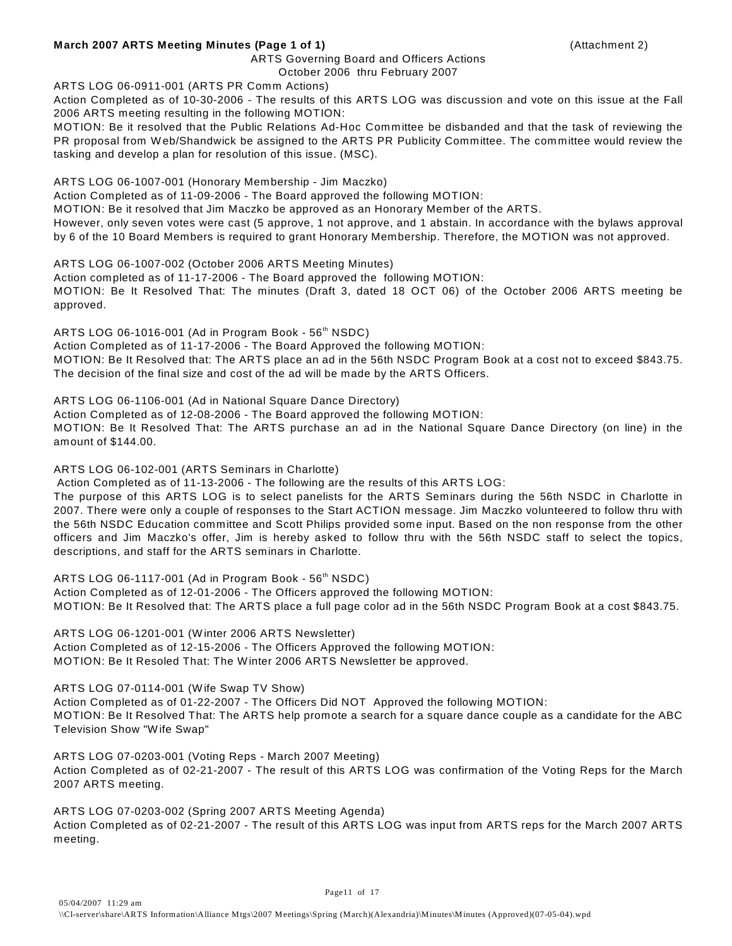#### **March 2007 ARTS Meeting Minutes (Page 1 of 1)** (Attachment 2)

#### ARTS Governing Board and Officers Actions

#### October 2006 thru February 2007

ARTS LOG 06-0911-001 (ARTS PR Comm Actions)

Action Completed as of 10-30-2006 - The results of this ARTS LOG was discussion and vote on this issue at the Fall 2006 ARTS meeting resulting in the following MOTION:

MOTION: Be it resolved that the Public Relations Ad-Hoc Committee be disbanded and that the task of reviewing the PR proposal from W eb/Shandwick be assigned to the ARTS PR Publicity Committee. The committee would review the tasking and develop a plan for resolution of this issue. (MSC).

ARTS LOG 06-1007-001 (Honorary Membership - Jim Maczko)

Action Completed as of 11-09-2006 - The Board approved the following MOTION:

MOTION: Be it resolved that Jim Maczko be approved as an Honorary Member of the ARTS.

However, only seven votes were cast (5 approve, 1 not approve, and 1 abstain. In accordance with the bylaws approval by 6 of the 10 Board Members is required to grant Honorary Membership. Therefore, the MOTION was not approved.

ARTS LOG 06-1007-002 (October 2006 ARTS Meeting Minutes)

Action completed as of 11-17-2006 - The Board approved the following MOTION: MOTION: Be It Resolved That: The minutes (Draft 3, dated 18 OCT 06) of the October 2006 ARTS meeting be approved.

ARTS LOG 06-1016-001 (Ad in Program Book -  $56<sup>th</sup>$  NSDC) Action Completed as of 11-17-2006 - The Board Approved the following MOTION: MOTION: Be It Resolved that: The ARTS place an ad in the 56th NSDC Program Book at a cost not to exceed \$843.75. The decision of the final size and cost of the ad will be made by the ARTS Officers.

ARTS LOG 06-1106-001 (Ad in National Square Dance Directory)

Action Completed as of 12-08-2006 - The Board approved the following MOTION: MOTION: Be It Resolved That: The ARTS purchase an ad in the National Square Dance Directory (on line) in the amount of \$144.00.

ARTS LOG 06-102-001 (ARTS Seminars in Charlotte)

Action Completed as of 11-13-2006 - The following are the results of this ARTS LOG:

The purpose of this ARTS LOG is to select panelists for the ARTS Seminars during the 56th NSDC in Charlotte in 2007. There were only a couple of responses to the Start ACTION message. Jim Maczko volunteered to follow thru with the 56th NSDC Education committee and Scott Philips provided some input. Based on the non response from the other officers and Jim Maczko's offer, Jim is hereby asked to follow thru with the 56th NSDC staff to select the topics, descriptions, and staff for the ARTS seminars in Charlotte.

ARTS LOG 06-1117-001 (Ad in Program Book -  $56<sup>th</sup>$  NSDC)

Action Completed as of 12-01-2006 - The Officers approved the following MOTION: MOTION: Be It Resolved that: The ARTS place a full page color ad in the 56th NSDC Program Book at a cost \$843.75.

ARTS LOG 06-1201-001 (W inter 2006 ARTS Newsletter)

Action Completed as of 12-15-2006 - The Officers Approved the following MOTION: MOTION: Be It Resoled That: The Winter 2006 ARTS Newsletter be approved.

ARTS LOG 07-0114-001 (W ife Swap TV Show)

Action Completed as of 01-22-2007 - The Officers Did NOT Approved the following MOTION: MOTION: Be It Resolved That: The ARTS help promote a search for a square dance couple as a candidate for the ABC Television Show "W ife Swap"

ARTS LOG 07-0203-001 (Voting Reps - March 2007 Meeting)

Action Completed as of 02-21-2007 - The result of this ARTS LOG was confirmation of the Voting Reps for the March 2007 ARTS meeting.

ARTS LOG 07-0203-002 (Spring 2007 ARTS Meeting Agenda) Action Completed as of 02-21-2007 - The result of this ARTS LOG was input from ARTS reps for the March 2007 ARTS meeting.

Page11 of 17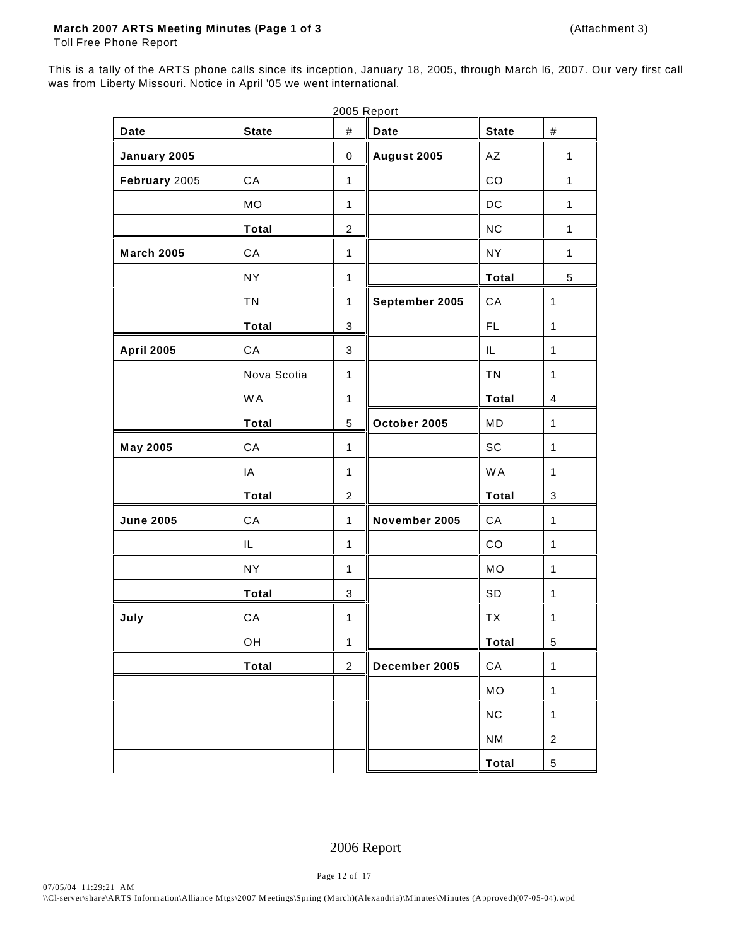#### **March 2007 ARTS Meeting Minutes (Page 1 of 3** (Attachment 3)

Toll Free Phone Report

This is a tally of the ARTS phone calls since its inception, January 18, 2005, through March l6, 2007. Our very first call was from Liberty Missouri. Notice in April '05 we went international.

|                   |              |                           | 2005 Report    |                        |                |
|-------------------|--------------|---------------------------|----------------|------------------------|----------------|
| Date              | <b>State</b> | $\#$                      | <b>Date</b>    | <b>State</b>           | $\#$           |
| January 2005      |              | $\mathbf 0$               | August 2005    | $\mathsf{A}\mathsf{Z}$ | $\mathbf{1}$   |
| February 2005     | CA           | $\mathbf{1}$              |                | CO                     | $\mathbf{1}$   |
|                   | <b>MO</b>    | $\mathbf{1}$              |                | DC                     | $\mathbf{1}$   |
|                   | <b>Total</b> | $\overline{c}$            |                | NC                     | $\mathbf{1}$   |
| <b>March 2005</b> | CA           | $\mathbf{1}$              |                | <b>NY</b>              | $\mathbf{1}$   |
|                   | <b>NY</b>    | $\mathbf{1}$              |                | <b>Total</b>           | 5              |
|                   | <b>TN</b>    | 1                         | September 2005 | CA                     | $\mathbf{1}$   |
|                   | <b>Total</b> | $\ensuremath{\mathsf{3}}$ |                | FL.                    | $\mathbf{1}$   |
| <b>April 2005</b> | CA           | $\mathsf 3$               |                | IL                     | $\mathbf{1}$   |
|                   | Nova Scotia  | $\mathbf{1}$              |                | <b>TN</b>              | $\mathbf{1}$   |
|                   | <b>WA</b>    | $\mathbf{1}$              |                | <b>Total</b>           | 4              |
|                   | <b>Total</b> | $\sqrt{5}$                | October 2005   | MD                     | $\mathbf{1}$   |
| <b>May 2005</b>   | CA           | $\mathbf 1$               |                | SC                     | $\mathbf{1}$   |
|                   | IA           | $\mathbf{1}$              |                | <b>WA</b>              | $\mathbf{1}$   |
|                   | Total        | $\overline{c}$            |                | <b>Total</b>           | 3              |
| <b>June 2005</b>  | CA           | $\mathbf{1}$              | November 2005  | CA                     | $\mathbf{1}$   |
|                   | IL           | $\mathbf{1}$              |                | CO                     | $\mathbf{1}$   |
|                   | <b>NY</b>    | 1                         |                | MO                     | $\mathbf{1}$   |
|                   | Total        | $\mathbf{3}$              |                | SD                     | $\mathbf{1}$   |
| July              | CA           | $\mathbf{1}$              |                | TX                     | $\mathbf{1}$   |
|                   | OH           | $\mathbf 1$               |                | Total                  | 5              |
|                   | <b>Total</b> | $\overline{2}$            | December 2005  | CA                     | $\mathbf{1}$   |
|                   |              |                           |                | MO                     | $\mathbf{1}$   |
|                   |              |                           |                | NC                     | $\mathbf{1}$   |
|                   |              |                           |                | <b>NM</b>              | $\overline{c}$ |
|                   |              |                           |                | Total                  | 5              |

### 2006 Report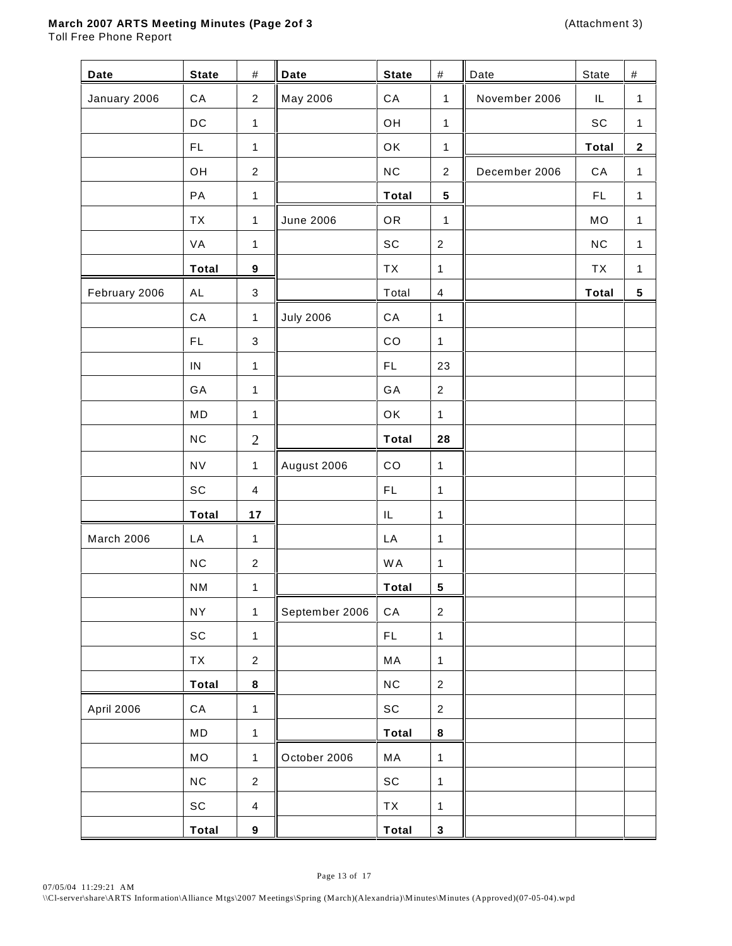### **March 2007 ARTS Meeting Minutes (Page 2of 3** (Attachment 3)

Toll Free Phone Report

| Date              | <b>State</b>                 | #                         | <b>Date</b>      | <b>State</b>                 | $\#$             | Date          | State        | $\#$         |
|-------------------|------------------------------|---------------------------|------------------|------------------------------|------------------|---------------|--------------|--------------|
| January 2006      | ${\sf CA}$                   | $\overline{2}$            | May 2006         | ${\sf CA}$                   | $\mathbf{1}$     | November 2006 | IL           | $\mathbf{1}$ |
|                   | DC                           | $\mathbf{1}$              |                  | OH                           | $\mathbf{1}$     |               | SC           | $\mathbf{1}$ |
|                   | FL                           | $\mathbf{1}$              |                  | OK                           | $\mathbf{1}$     |               | <b>Total</b> | $\mathbf{2}$ |
|                   | OH                           | $\sqrt{2}$                |                  | NC                           | $\overline{2}$   | December 2006 | ${\sf CA}$   | $\mathbf{1}$ |
|                   | PA                           | $\mathbf{1}$              |                  | <b>Total</b>                 | $5\phantom{.0}$  |               | FL.          | $\mathbf{1}$ |
|                   | <b>TX</b>                    | $\mathbf{1}$              | <b>June 2006</b> | OR                           | $\mathbf{1}$     |               | MO           | $\mathbf{1}$ |
|                   | VA                           | $\mathbf{1}$              |                  | $\operatorname{\textsf{SC}}$ | $\sqrt{2}$       |               | NC           | $\mathbf{1}$ |
|                   | <b>Total</b>                 | $\boldsymbol{9}$          |                  | TX                           | 1                |               | <b>TX</b>    | $\mathbf{1}$ |
| February 2006     | <b>AL</b>                    | $\sqrt{3}$                |                  | Total                        | $\overline{4}$   |               | <b>Total</b> | ${\bf 5}$    |
|                   | ${\sf CA}$                   | $\mathbf{1}$              | <b>July 2006</b> | ${\sf CA}$                   | $\mathbf{1}$     |               |              |              |
|                   | FL                           | $\ensuremath{\mathsf{3}}$ |                  | CO                           | $\mathbf{1}$     |               |              |              |
|                   | ${\sf IN}$                   | $\mathbf{1}$              |                  | FL                           | 23               |               |              |              |
|                   | GA                           | $\mathbf{1}$              |                  | GA                           | $\overline{2}$   |               |              |              |
|                   | MD                           | $\mathbf{1}$              |                  | OK                           | $\mathbf{1}$     |               |              |              |
|                   | NC                           | $\mathbf{2}$              |                  | <b>Total</b>                 | 28               |               |              |              |
|                   | <b>NV</b>                    | $\mathbf{1}$              | August 2006      | CO                           | $\mathbf{1}$     |               |              |              |
|                   | SC                           | $\overline{4}$            |                  | FL                           | 1                |               |              |              |
|                   | <b>Total</b>                 | 17                        |                  | IL                           | 1                |               |              |              |
| March 2006        | LA                           | $\mathbf{1}$              |                  | LA                           | $\mathbf{1}$     |               |              |              |
|                   | NC                           | $\overline{2}$            |                  | <b>WA</b>                    | $\mathbf{1}$     |               |              |              |
|                   | <b>NM</b>                    | $\mathbf{1}$              |                  | <b>Total</b>                 | $5\phantom{.0}$  |               |              |              |
|                   | <b>NY</b>                    | $\mathbf{1}$              | September 2006   | ${\sf CA}$                   | $\overline{2}$   |               |              |              |
|                   | $\operatorname{\textsf{SC}}$ | $\mathbf{1}$              |                  | $\mathsf{FL}$                | $\mathbf{1}$     |               |              |              |
|                   | TX                           | $\overline{c}$            |                  | MA                           | 1                |               |              |              |
|                   | <b>Total</b>                 | $\bf8$                    |                  | $NC$                         | $\sqrt{2}$       |               |              |              |
| <b>April 2006</b> | ${\sf CA}$                   | $\mathbf{1}$              |                  | $\operatorname{\textsf{SC}}$ | $\boldsymbol{2}$ |               |              |              |
|                   | MD                           | $\mathbf{1}$              |                  | <b>Total</b>                 | $\bf8$           |               |              |              |
|                   | MO                           | $\mathbf{1}$              | October 2006     | MA                           | $\mathbf{1}$     |               |              |              |
|                   | $NC$                         | $\overline{c}$            |                  | $\operatorname{\textsf{sc}}$ | $\mathbf{1}$     |               |              |              |
|                   | $\operatorname{\textsf{SC}}$ | $\overline{4}$            |                  | TX                           | 1                |               |              |              |
|                   | Total                        | $\boldsymbol{9}$          |                  | Total                        | $\mathbf 3$      |               |              |              |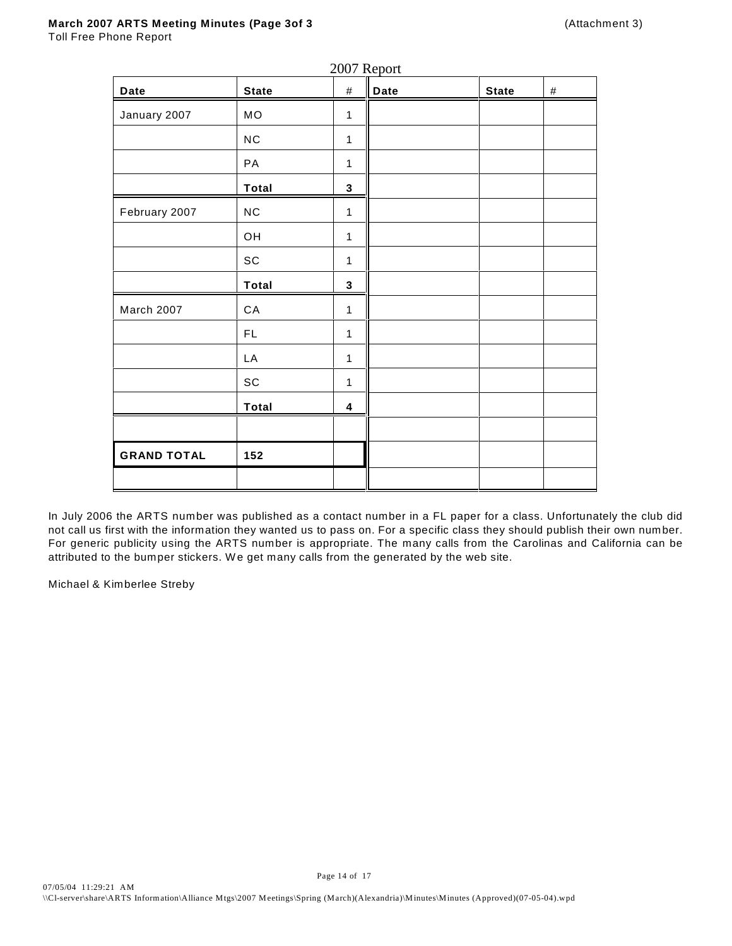Toll Free Phone Report

| <b>Date</b>        | <b>State</b>                 | $-0$ $ -$<br>$\#$ | - r - - -<br>Date | <b>State</b> | $\#$ |
|--------------------|------------------------------|-------------------|-------------------|--------------|------|
| January 2007       | MO                           | 1                 |                   |              |      |
|                    | ${\sf NC}$                   | $\mathbf 1$       |                   |              |      |
|                    | PA                           | 1                 |                   |              |      |
|                    | Total                        | $\mathbf 3$       |                   |              |      |
| February 2007      | ${\sf NC}$                   | $\mathbf 1$       |                   |              |      |
|                    | OH                           | $\mathbf 1$       |                   |              |      |
|                    | $\operatorname{\textsf{SC}}$ | $\mathbf{1}$      |                   |              |      |
|                    | <b>Total</b>                 | $\mathbf{3}$      |                   |              |      |
| March 2007         | ${\sf CA}$                   | $\mathbf{1}$      |                   |              |      |
|                    | $\mathsf{FL}$                | $\mathbf 1$       |                   |              |      |
|                    | LA                           | 1                 |                   |              |      |
|                    | SC                           | $\mathbf 1$       |                   |              |      |
|                    | Total                        | 4                 |                   |              |      |
|                    |                              |                   |                   |              |      |
| <b>GRAND TOTAL</b> | 152                          |                   |                   |              |      |
|                    |                              |                   |                   |              |      |

2007 Report

In July 2006 the ARTS number was published as a contact number in a FL paper for a class. Unfortunately the club did not call us first with the information they wanted us to pass on. For a specific class they should publish their own number. For generic publicity using the ARTS number is appropriate. The many calls from the Carolinas and California can be attributed to the bumper stickers. W e get many calls from the generated by the web site.

Michael & Kimberlee Streby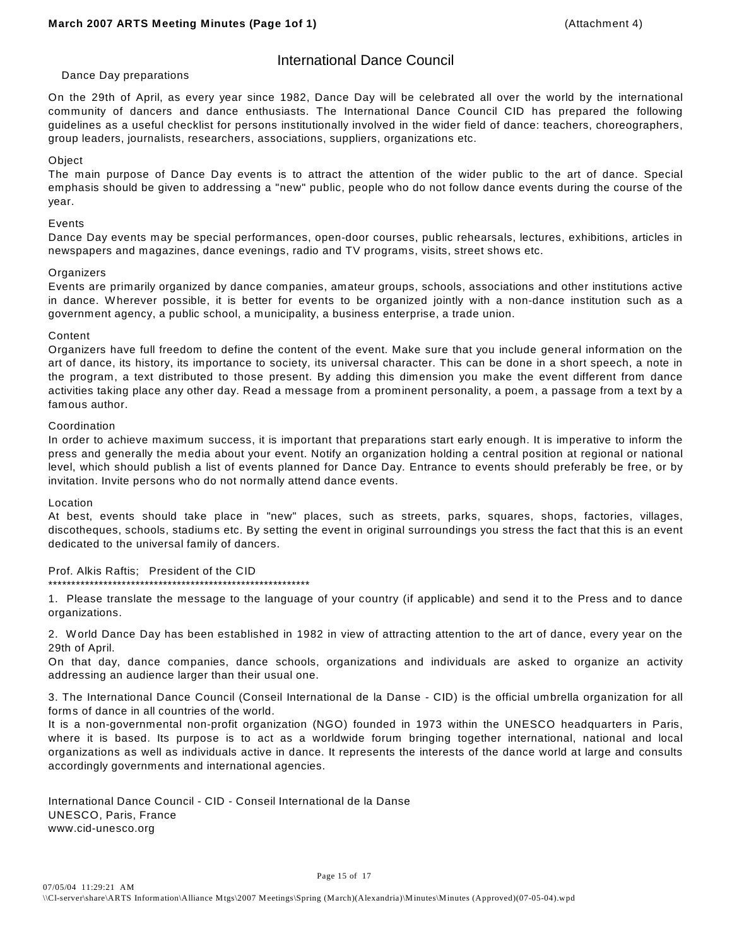### International Dance Council

#### Dance Day preparations

On the 29th of April, as every year since 1982, Dance Day will be celebrated all over the world by the international community of dancers and dance enthusiasts. The International Dance Council CID has prepared the following guidelines as a useful checklist for persons institutionally involved in the wider field of dance: teachers, choreographers, group leaders, journalists, researchers, associations, suppliers, organizations etc.

#### **Object**

The main purpose of Dance Day events is to attract the attention of the wider public to the art of dance. Special emphasis should be given to addressing a "new" public, people who do not follow dance events during the course of the year.

#### Events

Dance Day events may be special performances, open-door courses, public rehearsals, lectures, exhibitions, articles in newspapers and magazines, dance evenings, radio and TV programs, visits, street shows etc.

#### **Organizers**

Events are primarily organized by dance companies, amateur groups, schools, associations and other institutions active in dance. W herever possible, it is better for events to be organized jointly with a non-dance institution such as a government agency, a public school, a municipality, a business enterprise, a trade union.

#### Content

Organizers have full freedom to define the content of the event. Make sure that you include general information on the art of dance, its history, its importance to society, its universal character. This can be done in a short speech, a note in the program, a text distributed to those present. By adding this dimension you make the event different from dance activities taking place any other day. Read a message from a prominent personality, a poem, a passage from a text by a famous author.

#### Coordination

In order to achieve maximum success, it is important that preparations start early enough. It is imperative to inform the press and generally the media about your event. Notify an organization holding a central position at regional or national level, which should publish a list of events planned for Dance Day. Entrance to events should preferably be free, or by invitation. Invite persons who do not normally attend dance events.

#### Location

At best, events should take place in "new" places, such as streets, parks, squares, shops, factories, villages, discotheques, schools, stadiums etc. By setting the event in original surroundings you stress the fact that this is an event dedicated to the universal family of dancers.

Prof. Alkis Raftis; President of the CID \*\*\*\*\*\*\*\*\*\*\*\*\*\*\*\*\*\*\*\*\*\*\*\*\*\*\*\*\*\*\*\*\*\*\*\*\*\*\*\*\*\*\*\*\*\*\*\*\*\*\*\*\*\*\*\*\*

1. Please translate the message to the language of your country (if applicable) and send it to the Press and to dance organizations.

2. W orld Dance Day has been established in 1982 in view of attracting attention to the art of dance, every year on the 29th of April.

On that day, dance companies, dance schools, organizations and individuals are asked to organize an activity addressing an audience larger than their usual one.

3. The International Dance Council (Conseil International de la Danse - CID) is the official umbrella organization for all forms of dance in all countries of the world.

It is a non-governmental non-profit organization (NGO) founded in 1973 within the UNESCO headquarters in Paris, where it is based. Its purpose is to act as a worldwide forum bringing together international, national and local organizations as well as individuals active in dance. It represents the interests of the dance world at large and consults accordingly governments and international agencies.

International Dance Council - CID - Conseil International de la Danse UNESCO, Paris, France www.cid-unesco.org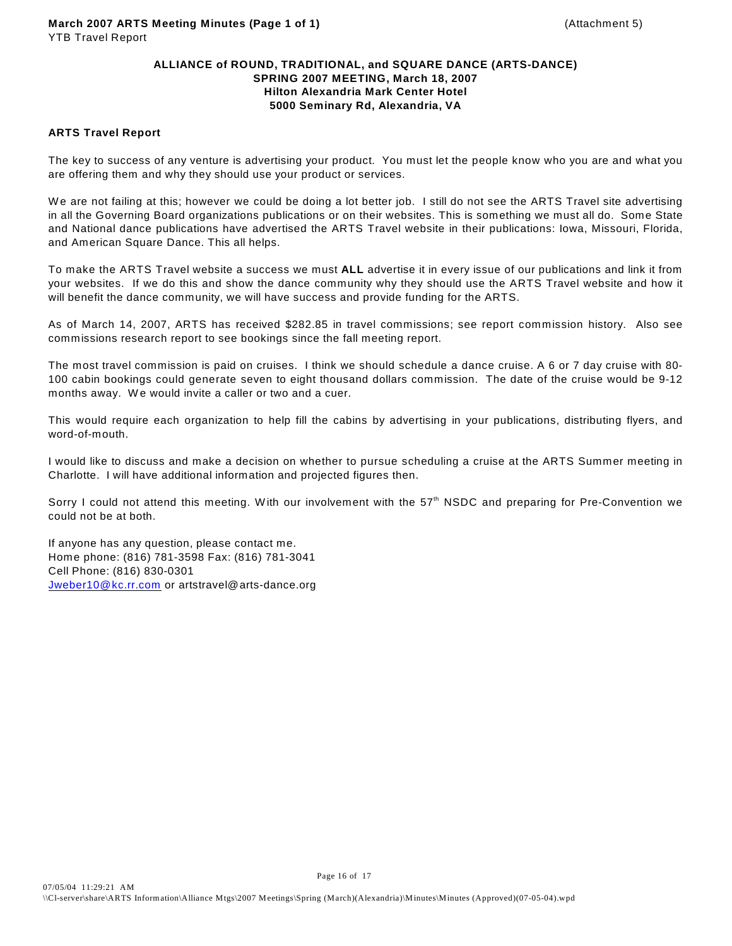#### **ALLIANCE of ROUND, TRADITIONAL, and SQUARE DANCE (ARTS-DANCE) SPRING 2007 MEETING, March 18, 2007 Hilton Alexandria Mark Center Hotel 5000 Seminary Rd, Alexandria, VA**

#### **ARTS Travel Report**

The key to success of any venture is advertising your product. You must let the people know who you are and what you are offering them and why they should use your product or services.

We are not failing at this; however we could be doing a lot better job. I still do not see the ARTS Travel site advertising in all the Governing Board organizations publications or on their websites. This is something we must all do. Some State and National dance publications have advertised the ARTS Travel website in their publications: Iowa, Missouri, Florida, and American Square Dance. This all helps.

To make the ARTS Travel website a success we must **ALL** advertise it in every issue of our publications and link it from your websites. If we do this and show the dance community why they should use the ARTS Travel website and how it will benefit the dance community, we will have success and provide funding for the ARTS.

As of March 14, 2007, ARTS has received \$282.85 in travel commissions; see report commission history. Also see commissions research report to see bookings since the fall meeting report.

The most travel commission is paid on cruises. I think we should schedule a dance cruise. A 6 or 7 day cruise with 80- 100 cabin bookings could generate seven to eight thousand dollars commission. The date of the cruise would be 9-12 months away. We would invite a caller or two and a cuer.

This would require each organization to help fill the cabins by advertising in your publications, distributing flyers, and word-of-mouth.

I would like to discuss and make a decision on whether to pursue scheduling a cruise at the ARTS Summer meeting in Charlotte. I will have additional information and projected figures then.

Sorry I could not attend this meeting. With our involvement with the  $57<sup>th</sup>$  NSDC and preparing for Pre-Convention we could not be at both.

If anyone has any question, please contact me. Home phone: (816) 781-3598 Fax: (816) 781-3041 Cell Phone: (816) 830-0301 [Jweber10@kc.rr.com](mailto:Jweber10@kc.rr.com) or artstravel@arts-dance.org

Page 16 of 17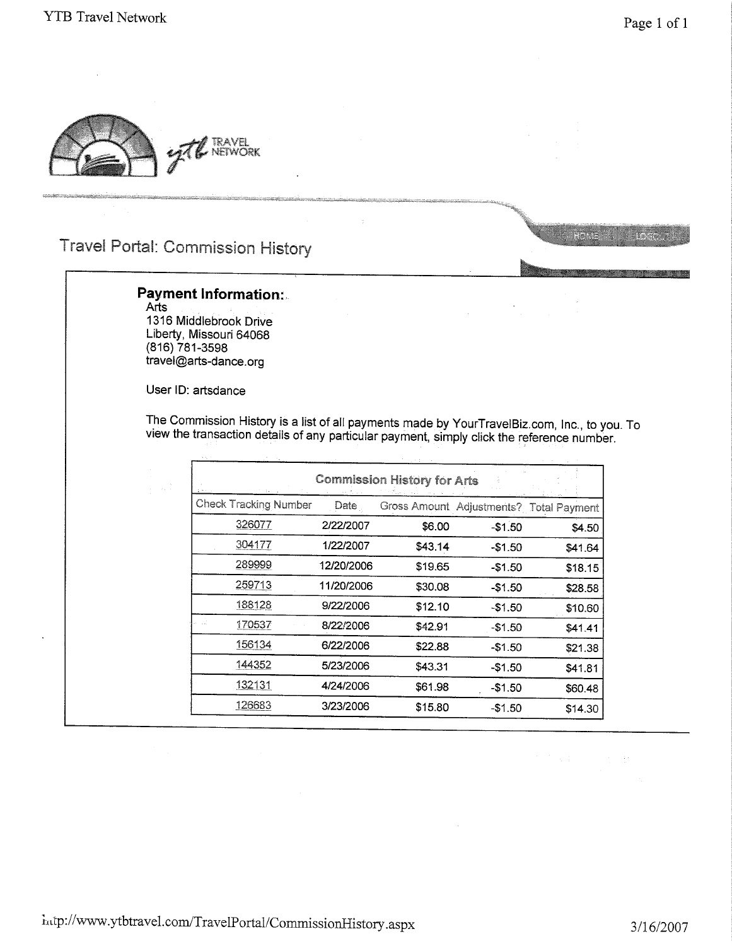e e



**Travel Portal: Commission History** 

### **Payment Information:**

Arts 1316 Middlebrook Drive Liberty, Missouri 64068  $(816) 781 - 3598$ travel@arts-dance.org

User ID: artsdance

The Commission History is a list of all payments made by YourTravelBiz.com, Inc., to you. To view the transaction details of any particular payment, simply click the reference number.

| <b>Check Tracking Number</b><br>Date<br>Gross Amount Adjustments? Total Payment<br>326077<br>2/22/2007<br>\$6.00<br>$-$1.50$<br>304177<br>1/22/2007<br>\$43.14<br>$-$1.50$<br>289999<br>12/20/2006<br>\$19.65<br>$-$1.50$<br>259713<br>11/20/2006<br>\$30.08<br>$-$1.50$<br>188128<br>9/22/2006<br>\$12.10<br>$-$1.50$ | \$4.50  |
|------------------------------------------------------------------------------------------------------------------------------------------------------------------------------------------------------------------------------------------------------------------------------------------------------------------------|---------|
|                                                                                                                                                                                                                                                                                                                        |         |
|                                                                                                                                                                                                                                                                                                                        |         |
|                                                                                                                                                                                                                                                                                                                        | \$41.64 |
|                                                                                                                                                                                                                                                                                                                        | \$18.15 |
|                                                                                                                                                                                                                                                                                                                        | \$28.58 |
|                                                                                                                                                                                                                                                                                                                        | \$10.60 |
| 170537<br>8/22/2006<br>\$42.91<br>$-$1.50$                                                                                                                                                                                                                                                                             | \$41.41 |
| 156134<br>6/22/2006<br>\$22.88<br>-\$1.50                                                                                                                                                                                                                                                                              | \$21.38 |
| 144352<br>5/23/2006<br>\$43.31<br>-\$1.50                                                                                                                                                                                                                                                                              | \$41.81 |
| 132131<br>4/24/2006<br>\$61.98<br>-\$1.50                                                                                                                                                                                                                                                                              | \$60.48 |
| 126683<br>3/23/2006<br>\$15.80<br>$-$1.50$                                                                                                                                                                                                                                                                             | \$14.30 |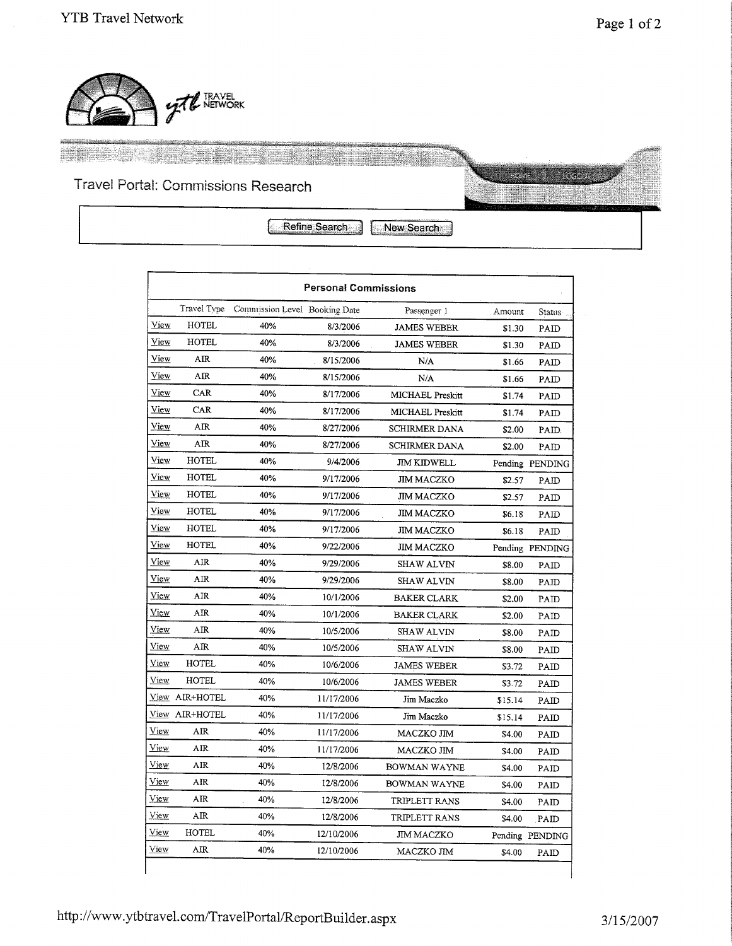en kontrolle



# Travel Portal: Commissions Research



Refine Search

New Search

|             |                    |                               | <b>Personal Commissions</b> |                      |         |                 |
|-------------|--------------------|-------------------------------|-----------------------------|----------------------|---------|-----------------|
|             | <b>Travel Type</b> | Commission Level Booking Date |                             | Passenger 1          | Amount  | <b>Status</b>   |
| View        | <b>HOTEL</b>       | 40%                           | 8/3/2006                    | <b>JAMES WEBER</b>   | \$1.30  | PAID            |
| View        | HOTEL              | 40%                           | 8/3/2006                    | <b>JAMES WEBER</b>   | \$1.30  | PAID            |
| View        | AIR                | 40%                           | 8/15/2006                   | N/A                  | \$1.66  | PAID            |
| View        | AIR                | 40%                           | 8/15/2006                   | N/A                  | \$1.66  | PAID            |
| View        | CAR                | 40%                           | 8/17/2006                   | MICHAEL Preskitt     | \$1.74  | PAID            |
| View        | CAR                | 40%                           | 8/17/2006                   | MICHAEL Preskitt     | \$1.74  | PAID            |
| View        | AIR                | 40%                           | 8/27/2006                   | <b>SCHIRMER DANA</b> | \$2.00  | PAID.           |
| View        | <b>AIR</b>         | 40%                           | 8/27/2006                   | <b>SCHIRMER DANA</b> | \$2.00  | PAID            |
| View        | <b>HOTEL</b>       | 40%                           | 9/4/2006                    | <b>JIM KIDWELL</b>   |         | Pending PENDING |
| View        | HOTEL              | 40%                           | 9/17/2006                   | <b>JIM MACZKO</b>    | \$2.57  | PAID            |
| View        | <b>HOTEL</b>       | 40%                           | 9/17/2006                   | <b>JIM MACZKO</b>    | \$2.57  | PAID            |
| View        | <b>HOTEL</b>       | 40%                           | 9/17/2006                   | <b>JIM MACZKO</b>    | \$6.18  | PAID            |
| View        | <b>HOTEL</b>       | 40%                           | 9/17/2006                   | <b>JIM MACZKO</b>    | \$6.18  | PAID            |
| <b>View</b> | <b>HOTEL</b>       | 40%                           | 9/22/2006                   | <b>JIM MACZKO</b>    |         | Pending PENDING |
| View        | AIR                | 40%                           | 9/29/2006                   | <b>SHAW ALVIN</b>    | \$8.00  | PAID            |
| <u>View</u> | AIR                | 40%                           | 9/29/2006                   | <b>SHAW ALVIN</b>    | \$8.00  | PAID            |
| View        | AIR                | 40%                           | 10/1/2006                   | BAKER CLARK          | \$2.00  | PAID            |
| <u>View</u> | AR                 | 40%                           | 10/1/2006                   | <b>BAKER CLARK</b>   | \$2.00  | PAID            |
| View        | AR                 | 40%                           | 10/5/2006                   | <b>SHAW ALVIN</b>    | \$8.00  | PAID            |
| View        | AIR                | 40%                           | 10/5/2006                   | <b>SHAW ALVIN</b>    | \$8.00  | PAID            |
| View        | <b>HOTEL</b>       | 40%                           | 10/6/2006                   | <b>JAMES WEBER</b>   | \$3.72  | PAID            |
| View        | <b>HOTEL</b>       | 40%                           | 10/6/2006                   | <b>JAMES WEBER</b>   | \$3.72  | PAID            |
|             | View AIR+HOTEL     | 40%                           | 11/17/2006                  | Jim Maczko           | \$15.14 | PAID            |
|             | View AIR+HOTEL     | 40%                           | 11/17/2006                  | Jim Maczko           | \$15.14 | PAID            |
| <u>View</u> | AIR                | 40%                           | 11/17/2006                  | MACZKO JIM           | \$4.00  | PAID            |
| View        | AIR                | 40%                           | 11/17/2006                  | MACZKO JIM           | \$4.00  | PAID            |
| View        | AIR                | 40%                           | 12/8/2006                   | BOWMAN WAYNE         | \$4.00  | PAID            |
| <u>View</u> | AIR.               | 40%                           | 12/8/2006                   | <b>BOWMAN WAYNE</b>  | \$4.00  | PAID            |
| View        | AIR                | 40%                           | 12/8/2006                   | TRIPLETT RANS        | \$4.00  | PAID            |
| <u>View</u> | AIR                | 40%                           | 12/8/2006                   | TRIPLETT RANS        | \$4.00  | PAID            |
| View        | <b>HOTEL</b>       | 40%                           | 12/10/2006                  | JIM MACZKO           |         | Pending PENDING |
| View        | AIR                | 40%                           | 12/10/2006                  | MACZKO JIM           | \$4.00  | PAID            |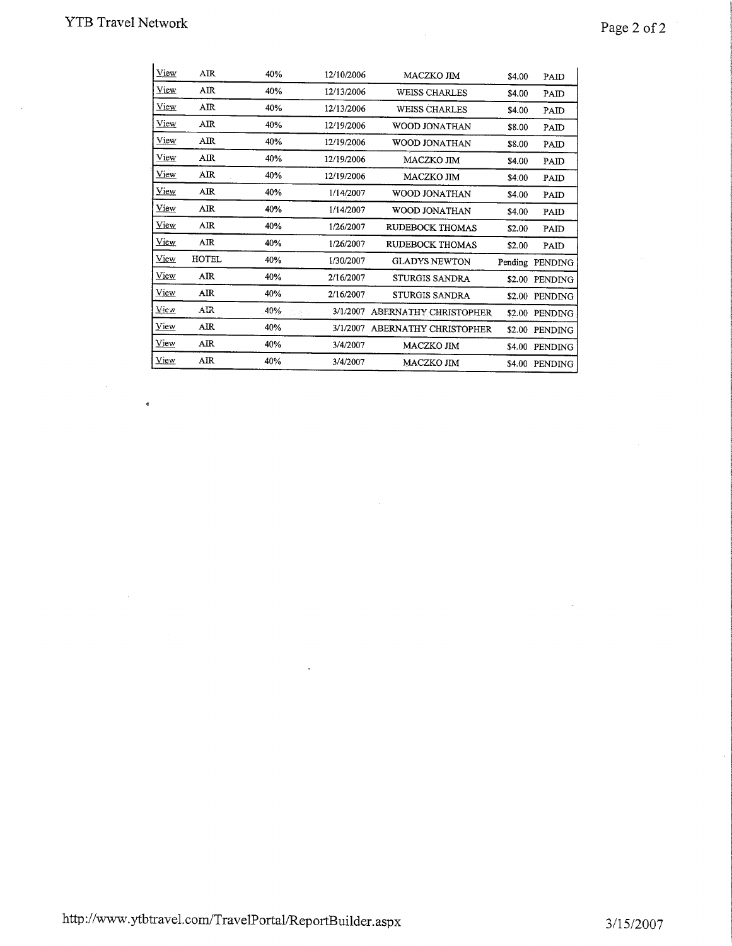$\bar{u}$ 

è

 $\sim$ 

# Page 2 of  $2$

| View  | AR    | 40%       | 12/10/2006 | MACZKO JIM            | \$4.00 | PAID            |
|-------|-------|-----------|------------|-----------------------|--------|-----------------|
| View  | AIR   | 40%       | 12/13/2006 | <b>WEISS CHARLES</b>  | \$4.00 | PAID            |
| View  | AIR   | 40%       | 12/13/2006 | <b>WEISS CHARLES</b>  | \$4.00 | PAID            |
| View  | AIR   | 40%       | 12/19/2006 | WOOD JONATHAN         | \$8.00 | PAID            |
| View  | AIR   | 40%       | 12/19/2006 | <b>WOOD JONATHAN</b>  | \$8.00 | PAID            |
| View  | AIR   | 40%       | 12/19/2006 | MACZKO JIM            | \$4.00 | PAID            |
| View  | AIR   | 40%       | 12/19/2006 | <b>MACZKO JIM</b>     | \$4.00 | PAID            |
| View  | AIR   | 40%       | 1/14/2007  | WOOD JONATHAN         | \$4.00 | PAID            |
| View  | AIR   | 40%       | 1/14/2007  | WOOD JONATHAN         | \$4.00 | PAID            |
| View  | AIR   | 40%       | 1/26/2007  | RUDEBOCK THOMAS       | \$2.00 | PAID            |
| View  | AIR   | 40%       | 1/26/2007  | RUDEBOCK THOMAS       | \$2.00 | PAID            |
| View  | HOTEL | 40%       | 1/30/2007  | <b>GLADYS NEWTON</b>  |        | Pending PENDING |
| View  | AIR   | 40%       | 2/16/2007  | STURGIS SANDRA        | \$2.00 | PENDING         |
| View  | AIR   | 40%       | 2/16/2007  | STURGIS SANDRA        |        | \$2.00 PENDING  |
| Vie v | AR    | 40%<br>P. | 3/1/2007   | ABERNATHY CHRISTOPHER | \$2.00 | PENDING         |
| View  | AIR   | 40%       | 3/1/2007   | ABERNATHY CHRISTOPHER | \$2.00 | PENDING         |
| View  | AIR   | 40%       | 3/4/2007   | MACZKO JIM            | \$4.00 | PENDING         |
| View  | AIR   | 40%       | 3/4/2007   | MACZKO JIM            |        | \$4.00 PENDING  |

 $\epsilon$ 

 $\overline{a}$